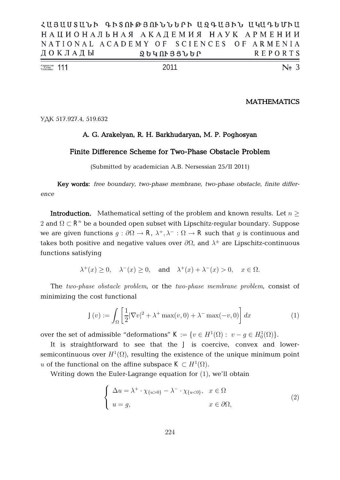| $\frac{\text{Number of Number}}{\text{Volume}}$ 111 |                                           |  |  |  | 2011 |                   |  |  |  |  |                | $\mathbb{N}$ <sub>2</sub> 3 |  |
|-----------------------------------------------------|-------------------------------------------|--|--|--|------|-------------------|--|--|--|--|----------------|-----------------------------|--|
|                                                     | ДОКЛАДЫ                                   |  |  |  |      | <b>2640133660</b> |  |  |  |  | <b>REPORTS</b> |                             |  |
|                                                     | NATIONAL ACADEMY OF SCIENCES OF ARMENIA   |  |  |  |      |                   |  |  |  |  |                |                             |  |
|                                                     | НАЦИОНАЛЬНАЯ АКАДЕМИЯ НАУК АРМЕНИИ        |  |  |  |      |                   |  |  |  |  |                |                             |  |
|                                                     | ՀԱՑԱՍՏԱՆԻ ԳԻՏՈՒԹՅՈՒՆՆԵՐԻ ԱԶԳԱՅԻՆ ԱԿԱԳԵՄԻԱ |  |  |  |      |                   |  |  |  |  |                |                             |  |

**MATHEMATICS**

УДК 517.927.4, 519.632

## **A. G. Arakelyan, R. H. Barkhudaryan, M. P. Poghosyan**

# **Finite Difference Scheme for Two-Phase Obstacle Problem**

(Submitted by academician A.B. Nersessian 25/II 2011)

**Key words:** *free boundary, two-phase membrane, two-phase obstacle, finite difference*

**Introduction.** Mathematical setting of the problem and known results. Let  $n >$  $2$  and  $\Omega \subset \mathbf{R}^n$  be a bounded open subset with Lipschitz-regular boundary. Suppose we are given functions  $g: \partial\Omega \to \mathbf{R}$ ,  $\lambda^+, \lambda^-: \Omega \to \mathbf{R}$  such that  $g$  is continuous and takes both positive and negative values over  $\partial \Omega$ , and  $\lambda^{\pm}$  are Lipschitz-continuous functions satisfying

$$
\lambda^+(x) \ge 0
$$
,  $\lambda^-(x) \ge 0$ , and  $\lambda^+(x) + \lambda^-(x) > 0$ ,  $x \in \Omega$ .

The two-phase obstacle problem, or the two-phase membrane problem, consist of minimizing the cost functional

$$
\mathbf{J}(v) := \int_{\Omega} \left[ \frac{1}{2} |\nabla v|^2 + \lambda^+ \max(v, 0) + \lambda^- \max(-v, 0) \right] dx \tag{1}
$$

over the set of admissible "deformations"  $\mathbf{K} := \{ v \in H^1(\Omega) : v - g \in H^1_0(\Omega) \}.$ 

It is straightforward to see that the J is coercive, convex and lowersemicontinuous over  $H^1(\Omega)$ , resulting the existence of the unique minimum point u of the functional on the affine subspace  $\mathbf{K} \subset H^1(\Omega)$ .

Writing down the Euler-Lagrange equation for  $(1)$ , we'll obtain

$$
\begin{cases} \Delta u = \lambda^+ \cdot \chi_{\{u>0\}} - \lambda^- \cdot \chi_{\{u<0\}}, & x \in \Omega \\ u = g, & x \in \partial\Omega, \end{cases}
$$
 (2)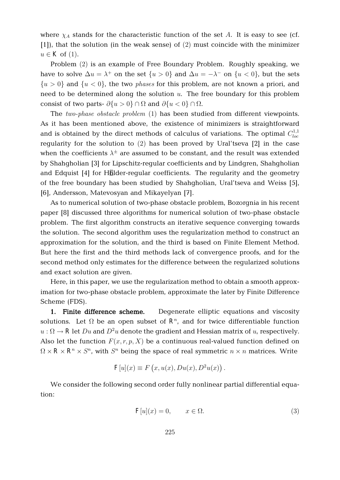where  $\chi_A$  stands for the characteristic function of the set A. It is easy to see (cf.  $[1]$ , that the solution (in the weak sense) of  $(2)$  must coincide with the minimizer  $u \in K$  of (1).

Problem (2) is an example of Free Boundary Problem. Roughly speaking, we have to solve  $\Delta u = \lambda^+$  on the set  $\{u > 0\}$  and  $\Delta u = -\lambda^-$  on  $\{u < 0\}$ , but the sets  $\{u > 0\}$  and  $\{u < 0\}$ , the two *phases* for this problem, are not known a priori, and need to be determined along the solution  $u$ . The free boundary for this problem consist of two parts-  $\partial \{u > 0\} \cap \Omega$  and  $\partial \{u < 0\} \cap \Omega$ .

The two-phase obstacle problem  $(1)$  has been studied from different viewpoints. As it has been mentioned above, the existence of minimizers is straightforward and is obtained by the direct methods of calculus of variations. The optimal  $C^{1,1}_{loc}$ loc regularity for the solution to  $(2)$  has been proved by Ural'tseva  $[2]$  in the case when the coefficients  $\lambda^{\pm}$  are assumed to be constant, and the result was extended by Shahgholian [3] for Lipschitz-regular coefficients and by Lindgren, Shahgholian and Edquist [4] for Hölder-regular coefficients. The regularity and the geometry of the free boundary has been studied by Shahgholian, Ural'tseva and Weiss [5], [6], Andersson, Matevosyan and Mikayelyan [7].

As to numerical solution of two-phase obstacle problem, Bozorgnia in his recent paper [8] discussed three algorithms for numerical solution of two-phase obstacle problem. The first algorithm constructs an iterative sequence converging towards the solution. The second algorithm uses the regularization method to construct an approximation for the solution, and the third is based on Finite Element Method. But here the first and the third methods lack of convergence proofs, and for the second method only estimates for the difference between the regularized solutions and exact solution are given.

Here, in this paper, we use the regularization method to obtain a smooth approximation for two-phase obstacle problem, approximate the later by Finite Difference Scheme (FDS).

**1. Finite difference scheme.** Degenerate elliptic equations and viscosity solutions. Let  $\Omega$  be an open subset of  $\mathbb{R}^n$ , and for twice differentiable function  $u : \Omega \to \mathbf{R}$  let  $Du$  and  $D^2u$  denote the gradient and Hessian matrix of  $u$ , respectively. Also let the function  $F(x, r, p, X)$  be a continuous real-valued function defined on  $\Omega \times \mathbf{R} \times \mathbf{R}^n \times S^n$ , with  $S^n$  being the space of real symmetric  $n \times n$  matrices. Write

$$
F[u](x) \equiv F(x, u(x), Du(x), D^2u(x)) .
$$

We consider the following second order fully nonlinear partial differential equation:

$$
\mathbf{F}[u](x) = 0, \qquad x \in \Omega. \tag{3}
$$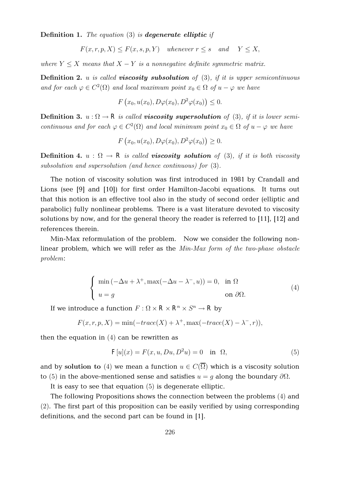**Definition 1.** The equation  $(3)$  is **degenerate elliptic** if

$$
F(x, r, p, X) \le F(x, s, p, Y) \quad \text{whenever } r \le s \quad \text{and} \quad Y \le X,
$$

where  $Y \leq X$  means that  $X - Y$  is a nonnegative definite symmetric matrix.

**Definition 2.** u is called **viscosity subsolution** of  $(3)$ , if it is upper semicontinuous and for each  $\varphi \in C^2(\Omega)$  and local maximum point  $x_0 \in \Omega$  of  $u - \varphi$  we have

$$
F(x_0, u(x_0), D\varphi(x_0), D^2\varphi(x_0)) \leq 0.
$$

**Definition 3.**  $u : \Omega \to \mathbb{R}$  is called **viscosity supersolution** of (3), if it is lower semicontinuous and for each  $\varphi \in C^2(\Omega)$  and local minimum point  $x_0 \in \Omega$  of  $u - \varphi$  we have

$$
F(x_0, u(x_0), D\varphi(x_0), D^2\varphi(x_0)) \ge 0.
$$

**Definition 4.**  $u : \Omega \to \mathbb{R}$  is called **viscosity solution** of (3), if it is both viscosity subsolution and supersolution (and hence continuous) for  $(3)$ .

The notion of viscosity solution was first introduced in 1981 by Crandall and Lions (see [9] and [10]) for first order Hamilton-Jacobi equations. It turns out that this notion is an effective tool also in the study of second order (elliptic and parabolic) fully nonlinear problems. There is a vast literature devoted to viscosity solutions by now, and for the general theory the reader is referred to [11], [12] and references therein.

Min-Max reformulation of the problem. Now we consider the following nonlinear problem, which we will refer as the Min-Max form of the two-phase obstacle problem:

$$
\begin{cases}\n\min(-\Delta u + \lambda^+, \max(-\Delta u - \lambda^-, u)) = 0, & \text{in } \Omega \\
u = g & \text{on } \partial\Omega.\n\end{cases}
$$
\n(4)

If we introduce a function  $F : \Omega \times \mathbb{R} \times \mathbb{R}^n \times S^n \to \mathbb{R}$  by

$$
F(x,r,p,X) = \min(-trace(X) + \lambda^+, \max(-trace(X) - \lambda^-, r)),
$$

then the equation in  $(4)$  can be rewritten as

$$
\mathbf{F}[u](x) = F(x, u, Du, D^2 u) = 0 \quad \text{in} \quad \Omega,\tag{5}
$$

and by solution to (4) we mean a function  $u \in C(\overline{\Omega})$  which is a viscosity solution to (5) in the above-mentioned sense and satisfies  $u = q$  along the boundary  $\partial\Omega$ .

It is easy to see that equation  $(5)$  is degenerate elliptic.

The following Propositions shows the connection between the problems (4) and  $(2)$ . The first part of this proposition can be easily verified by using corresponding definitions, and the second part can be found in [1].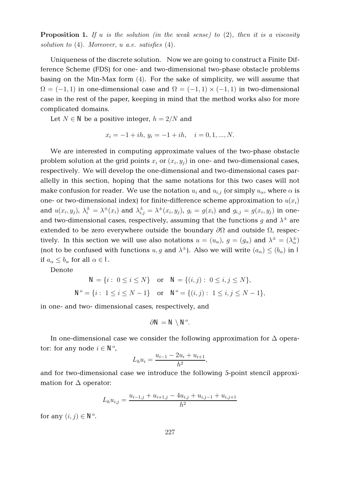**Proposition 1.** If u is the solution (in the weak sense) to  $(2)$ , then it is a viscosity solution to  $(4)$ . Moreover, u a.e. satisfies  $(4)$ .

Uniqueness of the discrete solution. Now we are going to construct a Finite Difference Scheme (FDS) for one- and two-dimensional two-phase obstacle problems basing on the Min-Max form  $(4)$ . For the sake of simplicity, we will assume that  $\Omega = (-1, 1)$  in one-dimensional case and  $\Omega = (-1, 1) \times (-1, 1)$  in two-dimensional case in the rest of the paper, keeping in mind that the method works also for more complicated domains.

Let  $N \in \mathbb{N}$  be a positive integer,  $h = 2/N$  and

$$
x_i = -1 + ih, \ y_i = -1 + ih, \quad i = 0, 1, ..., N.
$$

We are interested in computing approximate values of the two-phase obstacle problem solution at the grid points  $x_i$  or  $(x_i,y_j)$  in one- and two-dimensional cases, respectively. We will develop the one-dimensional and two-dimensional cases parallelly in this section, hoping that the same notations for this two cases will not make confusion for reader. We use the notation  $u_i$  and  $u_{i,j}$  (or simply  $u_\alpha$ , where  $\alpha$  is one- or two-dimensional index) for finite-difference scheme approximation to  $\mathit{u}(x_i)$ and  $u(x_i,y_j)$ ,  $\lambda_i^{\pm}=\lambda^{\pm}(x_i)$  and  $\lambda_{i,j}^{\pm}=\lambda^{\pm}(x_i,y_j)$ ,  $g_i=g(x_i)$  and  $g_{i,j}=g(x_i,y_j)$  in oneand two-dimensional cases, respectively, assuming that the functions  $g$  and  $\lambda^{\pm}$  are extended to be zero everywhere outside the boundary  $\partial\Omega$  and outside  $\Omega$ , respectively. In this section we will use also notations  $u = (u_\alpha)$ ,  $g = (g_\alpha)$  and  $\lambda^\pm = (\lambda^\pm_\alpha)$ (not to be confused with functions  $u, g$  and  $\lambda^{\pm}$ ). Also we will write  $(a_{\alpha}) \leq (b_{\alpha})$  in I if  $a_{\alpha} \leq b_{\alpha}$  for all  $\alpha \in I$ .

Denote

$$
N = \{i : 0 \le i \le N\} \text{ or } N = \{(i, j) : 0 \le i, j \le N\},\
$$
  

$$
N^p = \{i : 1 \le i \le N - 1\} \text{ or } N^p = \{(i, j) : 1 \le i, j \le N - 1\},\
$$

in one- and two- dimensional cases, respectively, and

$$
\partial N\!=N\!\setminus N\!\!\setminus
$$

In one-dimensional case we consider the following approximation for  $\Delta$  operator: for any node  $i \in \mathbb{N}^p$ ,

$$
L_h u_i = \frac{u_{i-1} - 2u_i + u_{i+1}}{h^2},
$$

and for two-dimensional case we introduce the following 5-point stencil approximation for  $\Delta$  operator:

$$
L_h u_{i,j} = \frac{u_{i-1,j} + u_{i+1,j} - 4u_{i,j} + u_{i,j-1} + u_{i,j+1}}{h^2}
$$

for any  $(i, j) \in \mathbb{N}^p$ .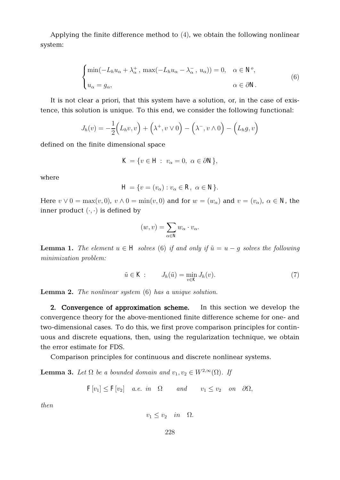Applying the finite difference method to  $(4)$ , we obtain the following nonlinear system:

$$
\begin{cases}\n\min(-L_h u_\alpha + \lambda_\alpha^+, \max(-L_h u_\alpha - \lambda_\alpha^-, u_\alpha)) = 0, & \alpha \in \mathbb{N}^p, \\
u_\alpha = g_\alpha, & \alpha \in \partial \mathbb{N}.\n\end{cases}
$$
\n(6)

It is not clear a priori, that this system have a solution, or, in the case of existence, this solution is unique. To this end, we consider the following functional:

$$
J_h(v) = -\frac{1}{2}\Big(L_h v, v\Big) + \Big(\lambda^+, v \vee 0\Big) - \Big(\lambda^-, v \wedge 0\Big) - \Big(L_h g, v\Big)
$$

defined on the finite dimensional space

$$
\mathbf{K} = \{ v \in \mathbf{H} : v_{\alpha} = 0, \ \alpha \in \partial \mathbf{N} \},
$$

where

$$
\mathbf{H} = \{ v = (v_{\alpha}) : v_{\alpha} \in \mathbf{R}, \ \alpha \in \mathbf{N} \}.
$$

Here  $v \vee 0 = \max(v, 0)$ ,  $v \wedge 0 = \min(v, 0)$  and for  $w = (w_\alpha)$  and  $v = (v_\alpha)$ ,  $\alpha \in \mathbb{N}$ , the inner product  $( \cdot, \cdot )$  is defined by

$$
(w,v) = \sum_{\alpha \in \mathbb{N}} w_{\alpha} \cdot v_{\alpha}.
$$

**Lemma 1.** The element  $u \in H$  solves (6) if and only if  $\tilde{u} = u - g$  solves the following minimization problem:

$$
\tilde{u} \in \mathbf{K} : J_h(\tilde{u}) = \min_{v \in \mathbf{K}} J_h(v). \tag{7}
$$

**Lemma 2.** The nonlinear system  $(6)$  has a unique solution.

**2. Convergence of approximation scheme.** In this section we develop the convergence theory for the above-mentioned finite difference scheme for one- and two-dimensional cases. To do this, we first prove comparison principles for continuous and discrete equations, then, using the regularization technique, we obtain the error estimate for FDS.

Comparison principles for continuous and discrete nonlinear systems.

**Lemma 3.** Let  $\Omega$  be a bounded domain and  $v_1, v_2 \in W^{2,\infty}(\Omega)$ . If

 $\mathbf{F}[v_1] \leq \mathbf{F}[v_2]$  a.e. in  $\Omega$  and  $v_1 \leq v_2$  on  $\partial \Omega$ ,

then

$$
v_1 \le v_2 \quad in \quad \Omega.
$$

228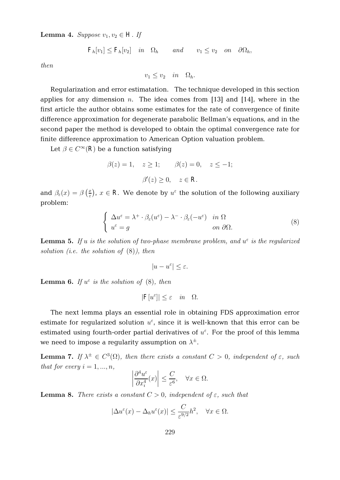**Lemma 4.** Suppose  $v_1, v_2 \in \mathbf{H}$ . If

$$
\mathbf{F}_h[v_1] \leq \mathbf{F}_h[v_2] \quad in \quad \Omega_h \qquad and \qquad v_1 \leq v_2 \quad on \quad \partial \Omega_h,
$$

then

 $v_1 \le v_2$  in  $\Omega_h$ .

Regularization and error estimatation. The technique developed in this section applies for any dimension  $n$ . The idea comes from [13] and [14], where in the first article the author obtains some estimates for the rate of convergence of finite difference approximation for degenerate parabolic Bellman's equations, and in the second paper the method is developed to obtain the optimal convergence rate for finite difference approximation to American Option valuation problem.

Let  $\beta \in C^{\infty}(\mathbb{R})$  be a function satisfying

 $\beta(z) = 1, \quad z > 1; \quad \beta(z) = 0, \quad z < -1;$  $\beta'(z) \geq 0, \quad z \in \mathbb{R}.$ 

and  $\beta_{\varepsilon}(x) = \beta \left( \frac{x}{\varepsilon} \right)$  $(\frac{x}{\varepsilon})$ ,  $x \in \mathbf{R}$ . We denote by  $u^{\varepsilon}$  the solution of the following auxiliary problem:

$$
\begin{cases}\n\Delta u^{\varepsilon} = \lambda^{+} \cdot \beta_{\varepsilon}(u^{\varepsilon}) - \lambda^{-} \cdot \beta_{\varepsilon}(-u^{\varepsilon}) & \text{in } \Omega \\
u^{\varepsilon} = g & \text{on } \partial\Omega.\n\end{cases} \tag{8}
$$

**Lemma 5.** If u is the solution of two-phase membrane problem, and  $u^{\varepsilon}$  is the regularized solution (i.e. the solution of  $(8)$ ), then

$$
|u-u^\varepsilon|\leq\varepsilon.
$$

**Lemma 6.** If  $u^{\varepsilon}$  is the solution of (8), then

$$
|\mathbf{F}[u^{\varepsilon}]| \le \varepsilon \quad in \quad \Omega.
$$

The next lemma plays an essential role in obtaining FDS approximation error estimate for regularized solution  $u^{\varepsilon}$ , since it is well-known that this error can be estimated using fourth-order partial derivatives of  $u^{\varepsilon}$ . For the proof of this lemma we need to impose a regularity assumption on  $\lambda^{\pm}.$ 

**Lemma 7.** If  $\lambda^{\pm} \in C^3(\Omega)$ , then there exists a constant  $C > 0$ , independent of  $\varepsilon$ , such that for every  $i = 1, ..., n$ ,

$$
\left|\frac{\partial^4 u^{\varepsilon}}{\partial x_i^4}(x)\right| \le \frac{C}{\varepsilon^6}, \quad \forall x \in \Omega.
$$

**Lemma 8.** There exists a constant  $C > 0$ , independent of  $\varepsilon$ , such that

$$
|\Delta u^{\varepsilon}(x) - \Delta_h u^{\varepsilon}(x)| \le \frac{C}{\varepsilon^{9/2}} h^2, \quad \forall x \in \Omega.
$$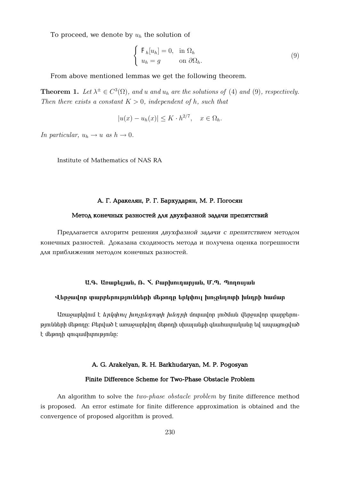To proceed, we denote by  $u_h$  the solution of

$$
\begin{cases} \mathbf{F}_h[u_h] = 0, & \text{in } \Omega_h \\ u_h = g & \text{on } \partial\Omega_h. \end{cases}
$$
 (9)

From above mentioned lemmas we get the following theorem.

**Theorem 1.** Let  $\lambda^{\pm} \in C^3(\Omega)$ , and u and  $u_h$  are the solutions of (4) and (9), respectively. Then there exists a constant  $K > 0$ , independent of h, such that

$$
|u(x) - u_h(x)| \le K \cdot h^{2/7}, \quad x \in \Omega_h.
$$

In particular,  $u_h \rightarrow u$  as  $h \rightarrow 0$ .

Institute of Mathematics of NAS RA

# $A$ . **Г.** Аракелян, Р. Г. Бархударян, М. Р. Погосян

#### Метод конечных разностей для двухфазной задачи препятствий

Предлагается алгоритм решения двухфазной задачи с препятствием методом конечных разностей. Доказана сходимость метода и получена оценка погрешности для приближения методом конечных разностей.

## **E.A.** Ununtijuli, A. S. Aunhininunjuli, U.M. Annujuli

### **ì»ñç³íáñ ï³ñµ»ñáõÃÛáõÝÝ»ñÇ Ù»Ãá¹Á »ñÏ÷áõÉ ËáãÁݹáïÇ ËݹñÇ ѳٳñ**

<u>Unuyup</u>hun t *knyymu hunynun huanph wan* մուրավոր լուծման վերջավոր տարբերու $p$ յունների մեթոդը։ Բերված է առաջարկվող մեթոդի սխալանքի գնահատականը եվ ապացուցված  $t$  մեթոդի գուգամիտությունը:

#### **A. G. Arakelyan, R. H. Barkhudaryan, M. P. Pogosyan**

#### **Finite Difference Scheme for Two-Phase Obstacle Problem**

An algorithm to solve the *two-phase obstacle problem* by finite difference method is proposed. An error estimate for finite difference approximation is obtained and the convergence of proposed algorithm is proved.